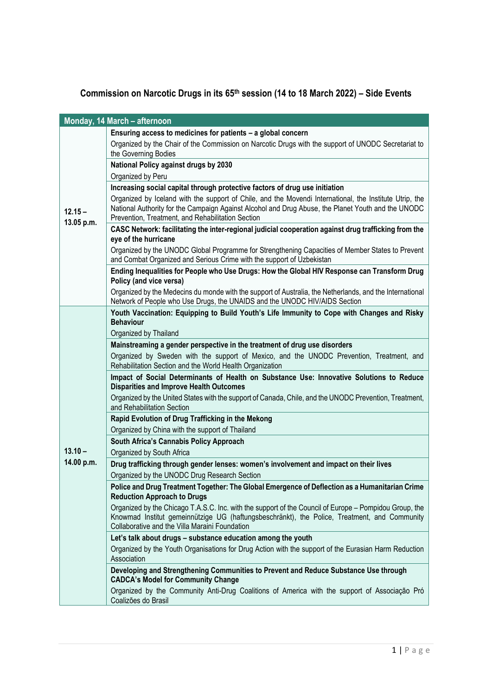## **Commission on Narcotic Drugs in its 65 th session (14 to 18 March 2022) – Side Events**

|                         | Monday, 14 March - afternoon                                                                                                                                                                                                                                       |
|-------------------------|--------------------------------------------------------------------------------------------------------------------------------------------------------------------------------------------------------------------------------------------------------------------|
|                         | Ensuring access to medicines for patients - a global concern                                                                                                                                                                                                       |
|                         | Organized by the Chair of the Commission on Narcotic Drugs with the support of UNODC Secretariat to<br>the Governing Bodies                                                                                                                                        |
|                         | National Policy against drugs by 2030                                                                                                                                                                                                                              |
|                         | Organized by Peru                                                                                                                                                                                                                                                  |
|                         | Increasing social capital through protective factors of drug use initiation                                                                                                                                                                                        |
| $12.15 -$<br>13.05 p.m. | Organized by Iceland with the support of Chile, and the Movendi International, the Institute Utrip, the<br>National Authority for the Campaign Against Alcohol and Drug Abuse, the Planet Youth and the UNODC<br>Prevention, Treatment, and Rehabilitation Section |
|                         | CASC Network: facilitating the inter-regional judicial cooperation against drug trafficking from the<br>eye of the hurricane                                                                                                                                       |
|                         | Organized by the UNODC Global Programme for Strengthening Capacities of Member States to Prevent<br>and Combat Organized and Serious Crime with the support of Uzbekistan                                                                                          |
|                         | Ending Inequalities for People who Use Drugs: How the Global HIV Response can Transform Drug<br>Policy (and vice versa)                                                                                                                                            |
|                         | Organized by the Medecins du monde with the support of Australia, the Netherlands, and the International<br>Network of People who Use Drugs, the UNAIDS and the UNODC HIV/AIDS Section                                                                             |
|                         | Youth Vaccination: Equipping to Build Youth's Life Immunity to Cope with Changes and Risky                                                                                                                                                                         |
|                         | <b>Behaviour</b><br>Organized by Thailand                                                                                                                                                                                                                          |
|                         | Mainstreaming a gender perspective in the treatment of drug use disorders                                                                                                                                                                                          |
|                         | Organized by Sweden with the support of Mexico, and the UNODC Prevention, Treatment, and<br>Rehabilitation Section and the World Health Organization                                                                                                               |
|                         | Impact of Social Determinants of Health on Substance Use: Innovative Solutions to Reduce<br><b>Disparities and Improve Health Outcomes</b>                                                                                                                         |
|                         | Organized by the United States with the support of Canada, Chile, and the UNODC Prevention, Treatment,<br>and Rehabilitation Section                                                                                                                               |
|                         | Rapid Evolution of Drug Trafficking in the Mekong                                                                                                                                                                                                                  |
|                         | Organized by China with the support of Thailand                                                                                                                                                                                                                    |
| $13.10 -$               | South Africa's Cannabis Policy Approach<br>Organized by South Africa                                                                                                                                                                                               |
| 14.00 p.m.              | Drug trafficking through gender lenses: women's involvement and impact on their lives                                                                                                                                                                              |
|                         | Organized by the UNODC Drug Research Section                                                                                                                                                                                                                       |
|                         | Police and Drug Treatment Together: The Global Emergence of Deflection as a Humanitarian Crime<br><b>Reduction Approach to Drugs</b>                                                                                                                               |
|                         | Organized by the Chicago T.A.S.C. Inc. with the support of the Council of Europe – Pompidou Group, the<br>Knowmad Institut gemeinnützige UG (haftungsbeschränkt), the Police, Treatment, and Community<br>Collaborative and the Villa Maraini Foundation           |
|                         | Let's talk about drugs - substance education among the youth                                                                                                                                                                                                       |
|                         | Organized by the Youth Organisations for Drug Action with the support of the Eurasian Harm Reduction<br>Association                                                                                                                                                |
|                         | Developing and Strengthening Communities to Prevent and Reduce Substance Use through<br><b>CADCA's Model for Community Change</b>                                                                                                                                  |
|                         | Organized by the Community Anti-Drug Coalitions of America with the support of Associação Pró<br>Coalizões do Brasil                                                                                                                                               |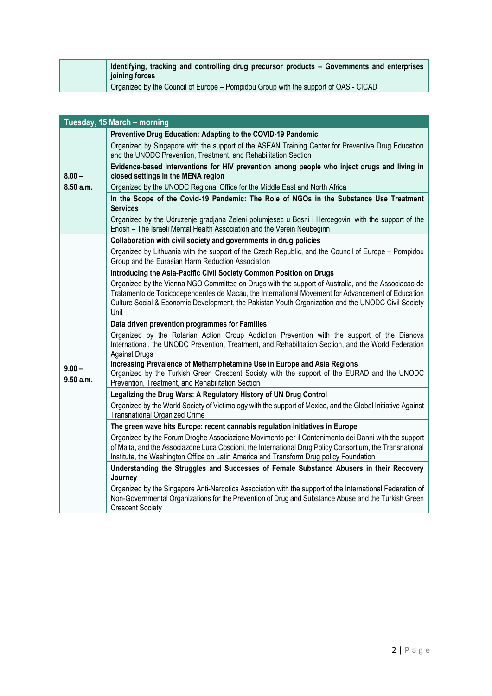| Identifying, tracking and controlling drug precursor products – Governments and enterprises<br>joining forces |
|---------------------------------------------------------------------------------------------------------------|
| Organized by the Council of Europe - Pompidou Group with the support of OAS - CICAD                           |

| Tuesday, 15 March - morning |                                                                                                                                                                                                                                                                                                                        |  |
|-----------------------------|------------------------------------------------------------------------------------------------------------------------------------------------------------------------------------------------------------------------------------------------------------------------------------------------------------------------|--|
|                             | Preventive Drug Education: Adapting to the COVID-19 Pandemic                                                                                                                                                                                                                                                           |  |
|                             | Organized by Singapore with the support of the ASEAN Training Center for Preventive Drug Education<br>and the UNODC Prevention, Treatment, and Rehabilitation Section                                                                                                                                                  |  |
| $8.00 -$                    | Evidence-based interventions for HIV prevention among people who inject drugs and living in<br>closed settings in the MENA region                                                                                                                                                                                      |  |
| 8.50 a.m.                   | Organized by the UNODC Regional Office for the Middle East and North Africa                                                                                                                                                                                                                                            |  |
|                             | In the Scope of the Covid-19 Pandemic: The Role of NGOs in the Substance Use Treatment<br><b>Services</b>                                                                                                                                                                                                              |  |
|                             | Organized by the Udruzenje gradjana Zeleni polumjesec u Bosni i Hercegovini with the support of the<br>Enosh - The Israeli Mental Health Association and the Verein Neubeginn                                                                                                                                          |  |
|                             | Collaboration with civil society and governments in drug policies                                                                                                                                                                                                                                                      |  |
|                             | Organized by Lithuania with the support of the Czech Republic, and the Council of Europe - Pompidou<br>Group and the Eurasian Harm Reduction Association                                                                                                                                                               |  |
|                             | Introducing the Asia-Pacific Civil Society Common Position on Drugs                                                                                                                                                                                                                                                    |  |
|                             | Organized by the Vienna NGO Committee on Drugs with the support of Australia, and the Associacao de<br>Tratamento de Toxicodependentes de Macau, the International Movement for Advancement of Education<br>Culture Social & Economic Development, the Pakistan Youth Organization and the UNODC Civil Society<br>Unit |  |
|                             | Data driven prevention programmes for Families                                                                                                                                                                                                                                                                         |  |
|                             | Organized by the Rotarian Action Group Addiction Prevention with the support of the Dianova<br>International, the UNODC Prevention, Treatment, and Rehabilitation Section, and the World Federation<br><b>Against Drugs</b>                                                                                            |  |
| $9.00 -$<br>9.50 a.m.       | Increasing Prevalence of Methamphetamine Use in Europe and Asia Regions<br>Organized by the Turkish Green Crescent Society with the support of the EURAD and the UNODC<br>Prevention, Treatment, and Rehabilitation Section                                                                                            |  |
|                             | Legalizing the Drug Wars: A Regulatory History of UN Drug Control                                                                                                                                                                                                                                                      |  |
|                             | Organized by the World Society of Victimology with the support of Mexico, and the Global Initiative Against<br><b>Transnational Organized Crime</b>                                                                                                                                                                    |  |
|                             | The green wave hits Europe: recent cannabis regulation initiatives in Europe                                                                                                                                                                                                                                           |  |
|                             | Organized by the Forum Droghe Associazione Movimento per il Contenimento dei Danni with the support<br>of Malta, and the Associazone Luca Coscioni, the International Drug Policy Consortium, the Transnational<br>Institute, the Washington Office on Latin America and Transform Drug policy Foundation              |  |
|                             | Understanding the Struggles and Successes of Female Substance Abusers in their Recovery<br>Journey                                                                                                                                                                                                                     |  |
|                             | Organized by the Singapore Anti-Narcotics Association with the support of the International Federation of<br>Non-Governmental Organizations for the Prevention of Drug and Substance Abuse and the Turkish Green<br><b>Crescent Society</b>                                                                            |  |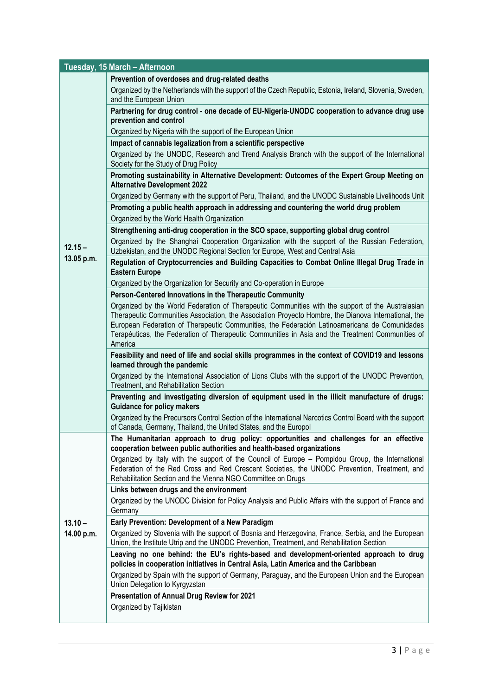| Tuesday, 15 March - Afternoon |                                                                                                                                                                                                                                                                  |  |
|-------------------------------|------------------------------------------------------------------------------------------------------------------------------------------------------------------------------------------------------------------------------------------------------------------|--|
|                               | Prevention of overdoses and drug-related deaths                                                                                                                                                                                                                  |  |
|                               | Organized by the Netherlands with the support of the Czech Republic, Estonia, Ireland, Slovenia, Sweden,                                                                                                                                                         |  |
|                               | and the European Union                                                                                                                                                                                                                                           |  |
|                               | Partnering for drug control - one decade of EU-Nigeria-UNODC cooperation to advance drug use<br>prevention and control                                                                                                                                           |  |
|                               | Organized by Nigeria with the support of the European Union                                                                                                                                                                                                      |  |
|                               | Impact of cannabis legalization from a scientific perspective                                                                                                                                                                                                    |  |
|                               | Organized by the UNODC, Research and Trend Analysis Branch with the support of the International<br>Society for the Study of Drug Policy                                                                                                                         |  |
|                               | Promoting sustainability in Alternative Development: Outcomes of the Expert Group Meeting on<br><b>Alternative Development 2022</b>                                                                                                                              |  |
|                               | Organized by Germany with the support of Peru, Thailand, and the UNODC Sustainable Livelihoods Unit                                                                                                                                                              |  |
|                               | Promoting a public health approach in addressing and countering the world drug problem<br>Organized by the World Health Organization                                                                                                                             |  |
|                               | Strengthening anti-drug cooperation in the SCO space, supporting global drug control                                                                                                                                                                             |  |
| $12.15 -$                     | Organized by the Shanghai Cooperation Organization with the support of the Russian Federation,<br>Uzbekistan, and the UNODC Regional Section for Europe, West and Central Asia                                                                                   |  |
| 13.05 p.m.                    | Regulation of Cryptocurrencies and Building Capacities to Combat Online Illegal Drug Trade in<br><b>Eastern Europe</b>                                                                                                                                           |  |
|                               | Organized by the Organization for Security and Co-operation in Europe                                                                                                                                                                                            |  |
|                               | Person-Centered Innovations in the Therapeutic Community                                                                                                                                                                                                         |  |
|                               | Organized by the World Federation of Therapeutic Communities with the support of the Australasian                                                                                                                                                                |  |
|                               | Therapeutic Communities Association, the Association Proyecto Hombre, the Dianova International, the<br>European Federation of Therapeutic Communities, the Federación Latinoamericana de Comunidades                                                            |  |
|                               | Terapéuticas, the Federation of Therapeutic Communities in Asia and the Treatment Communities of                                                                                                                                                                 |  |
|                               | America                                                                                                                                                                                                                                                          |  |
|                               | Feasibility and need of life and social skills programmes in the context of COVID19 and lessons<br>learned through the pandemic                                                                                                                                  |  |
|                               | Organized by the International Association of Lions Clubs with the support of the UNODC Prevention,<br>Treatment, and Rehabilitation Section                                                                                                                     |  |
|                               | Preventing and investigating diversion of equipment used in the illicit manufacture of drugs:<br><b>Guidance for policy makers</b>                                                                                                                               |  |
|                               | Organized by the Precursors Control Section of the International Narcotics Control Board with the support<br>of Canada, Germany, Thailand, the United States, and the Europol                                                                                    |  |
|                               | The Humanitarian approach to drug policy: opportunities and challenges for an effective<br>cooperation between public authorities and health-based organizations                                                                                                 |  |
|                               | Organized by Italy with the support of the Council of Europe – Pompidou Group, the International<br>Federation of the Red Cross and Red Crescent Societies, the UNODC Prevention, Treatment, and<br>Rehabilitation Section and the Vienna NGO Committee on Drugs |  |
|                               | Links between drugs and the environment                                                                                                                                                                                                                          |  |
|                               | Organized by the UNODC Division for Policy Analysis and Public Affairs with the support of France and<br>Germany                                                                                                                                                 |  |
| $13.10 -$                     | Early Prevention: Development of a New Paradigm                                                                                                                                                                                                                  |  |
| 14.00 p.m.                    | Organized by Slovenia with the support of Bosnia and Herzegovina, France, Serbia, and the European<br>Union, the Institute Utrip and the UNODC Prevention, Treatment, and Rehabilitation Section                                                                 |  |
|                               | Leaving no one behind: the EU's rights-based and development-oriented approach to drug<br>policies in cooperation initiatives in Central Asia, Latin America and the Caribbean                                                                                   |  |
|                               | Organized by Spain with the support of Germany, Paraguay, and the European Union and the European<br>Union Delegation to Kyrgyzstan                                                                                                                              |  |
|                               | Presentation of Annual Drug Review for 2021                                                                                                                                                                                                                      |  |
|                               | Organized by Tajikistan                                                                                                                                                                                                                                          |  |
|                               |                                                                                                                                                                                                                                                                  |  |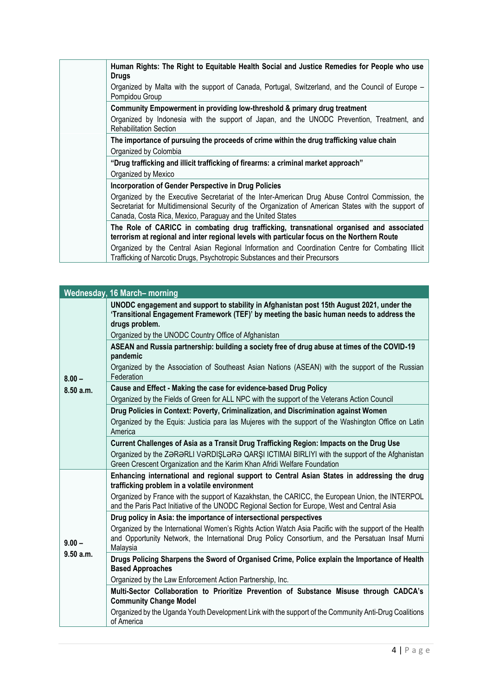**Human Rights: The Right to Equitable Health Social and Justice Remedies for People who use Drugs** Organized by Malta with the support of Canada, Portugal, Switzerland, and the Council of Europe – Pompidou Group **Community Empowerment in providing low-threshold & primary drug treatment** Organized by Indonesia with the support of Japan, and the UNODC Prevention, Treatment, and Rehabilitation Section **The importance of pursuing the proceeds of crime within the drug trafficking value chain** Organized by Colombia **"Drug trafficking and illicit trafficking of firearms: a criminal market approach"** Organized by Mexico **Incorporation of Gender Perspective in Drug Policies** Organized by the Executive Secretariat of the Inter-American Drug Abuse Control Commission, the Secretariat for Multidimensional Security of the Organization of American States with the support of Canada, Costa Rica, Mexico, Paraguay and the United States **The Role of CARICC in combating drug trafficking, transnational organised and associated terrorism at regional and inter regional levels with particular focus on the Northern Route** Organized by the Central Asian Regional Information and Coordination Centre for Combating Illicit Trafficking of Narcotic Drugs, Psychotropic Substances and their Precursors

|           | <b>Wednesday, 16 March- morning</b>                                                                                                                                                                                                                              |
|-----------|------------------------------------------------------------------------------------------------------------------------------------------------------------------------------------------------------------------------------------------------------------------|
|           | UNODC engagement and support to stability in Afghanistan post 15th August 2021, under the<br>'Transitional Engagement Framework (TEF)' by meeting the basic human needs to address the<br>drugs problem.<br>Organized by the UNODC Country Office of Afghanistan |
|           | ASEAN and Russia partnership: building a society free of drug abuse at times of the COVID-19                                                                                                                                                                     |
|           | pandemic                                                                                                                                                                                                                                                         |
| $8.00 -$  | Organized by the Association of Southeast Asian Nations (ASEAN) with the support of the Russian<br>Federation                                                                                                                                                    |
| 8.50 a.m. | Cause and Effect - Making the case for evidence-based Drug Policy                                                                                                                                                                                                |
|           | Organized by the Fields of Green for ALL NPC with the support of the Veterans Action Council                                                                                                                                                                     |
|           | Drug Policies in Context: Poverty, Criminalization, and Discrimination against Women                                                                                                                                                                             |
|           | Organized by the Equis: Justicia para las Mujeres with the support of the Washington Office on Latin<br>America                                                                                                                                                  |
|           | Current Challenges of Asia as a Transit Drug Trafficking Region: Impacts on the Drug Use                                                                                                                                                                         |
|           | Organized by the ZƏRƏRLI VƏRDIŞLƏRƏ QARŞI ICTIMAI BIRLIYI with the support of the Afghanistan                                                                                                                                                                    |
|           | Green Crescent Organization and the Karim Khan Afridi Welfare Foundation                                                                                                                                                                                         |
|           | Enhancing international and regional support to Central Asian States in addressing the drug<br>trafficking problem in a volatile environment                                                                                                                     |
|           | Organized by France with the support of Kazakhstan, the CARICC, the European Union, the INTERPOL<br>and the Paris Pact Initiative of the UNODC Regional Section for Europe, West and Central Asia                                                                |
|           | Drug policy in Asia: the importance of intersectional perspectives                                                                                                                                                                                               |
| $9.00 -$  | Organized by the International Women's Rights Action Watch Asia Pacific with the support of the Health<br>and Opportunity Network, the International Drug Policy Consortium, and the Persatuan Insaf Murni<br>Malaysia                                           |
| 9.50 a.m. | Drugs Policing Sharpens the Sword of Organised Crime, Police explain the Importance of Health<br><b>Based Approaches</b>                                                                                                                                         |
|           | Organized by the Law Enforcement Action Partnership, Inc.                                                                                                                                                                                                        |
|           | Multi-Sector Collaboration to Prioritize Prevention of Substance Misuse through CADCA's<br><b>Community Change Model</b>                                                                                                                                         |
|           | Organized by the Uganda Youth Development Link with the support of the Community Anti-Drug Coalitions<br>of America                                                                                                                                              |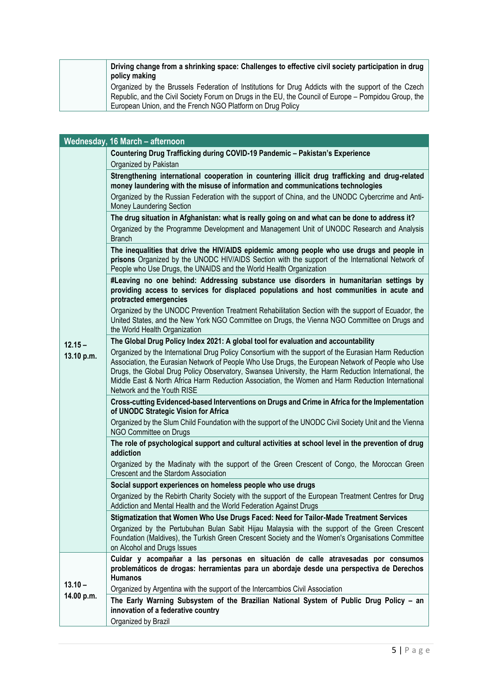| Driving change from a shrinking space: Challenges to effective civil society participation in drug<br>policy making |
|---------------------------------------------------------------------------------------------------------------------|
| Organized by the Brussels Federation of Institutions for Drug Addicts with the support of the Czech                 |
| Republic, and the Civil Society Forum on Drugs in the EU, the Council of Europe – Pompidou Group, the               |
| European Union, and the French NGO Platform on Drug Policy                                                          |

|            | Wednesday, 16 March - afternoon                                                                                                                                                                                                                                                                                                                                                                                                                       |
|------------|-------------------------------------------------------------------------------------------------------------------------------------------------------------------------------------------------------------------------------------------------------------------------------------------------------------------------------------------------------------------------------------------------------------------------------------------------------|
|            | Countering Drug Trafficking during COVID-19 Pandemic - Pakistan's Experience                                                                                                                                                                                                                                                                                                                                                                          |
|            | Organized by Pakistan                                                                                                                                                                                                                                                                                                                                                                                                                                 |
|            | Strengthening international cooperation in countering illicit drug trafficking and drug-related<br>money laundering with the misuse of information and communications technologies                                                                                                                                                                                                                                                                    |
|            | Organized by the Russian Federation with the support of China, and the UNODC Cybercrime and Anti-<br>Money Laundering Section                                                                                                                                                                                                                                                                                                                         |
|            | The drug situation in Afghanistan: what is really going on and what can be done to address it?                                                                                                                                                                                                                                                                                                                                                        |
|            | Organized by the Programme Development and Management Unit of UNODC Research and Analysis<br><b>Branch</b>                                                                                                                                                                                                                                                                                                                                            |
|            | The inequalities that drive the HIV/AIDS epidemic among people who use drugs and people in<br>prisons Organized by the UNODC HIV/AIDS Section with the support of the International Network of<br>People who Use Drugs, the UNAIDS and the World Health Organization                                                                                                                                                                                  |
|            | #Leaving no one behind: Addressing substance use disorders in humanitarian settings by<br>providing access to services for displaced populations and host communities in acute and<br>protracted emergencies                                                                                                                                                                                                                                          |
|            | Organized by the UNODC Prevention Treatment Rehabilitation Section with the support of Ecuador, the<br>United States, and the New York NGO Committee on Drugs, the Vienna NGO Committee on Drugs and<br>the World Health Organization                                                                                                                                                                                                                 |
| $12.15 -$  | The Global Drug Policy Index 2021: A global tool for evaluation and accountability                                                                                                                                                                                                                                                                                                                                                                    |
| 13.10 p.m. | Organized by the International Drug Policy Consortium with the support of the Eurasian Harm Reduction<br>Association, the Eurasian Network of People Who Use Drugs, the European Network of People who Use<br>Drugs, the Global Drug Policy Observatory, Swansea University, the Harm Reduction International, the<br>Middle East & North Africa Harm Reduction Association, the Women and Harm Reduction International<br>Network and the Youth RISE |
|            | Cross-cutting Evidenced-based Interventions on Drugs and Crime in Africa for the Implementation<br>of UNODC Strategic Vision for Africa                                                                                                                                                                                                                                                                                                               |
|            | Organized by the Slum Child Foundation with the support of the UNODC Civil Society Unit and the Vienna<br>NGO Committee on Drugs                                                                                                                                                                                                                                                                                                                      |
|            | The role of psychological support and cultural activities at school level in the prevention of drug<br>addiction                                                                                                                                                                                                                                                                                                                                      |
|            | Organized by the Madinaty with the support of the Green Crescent of Congo, the Moroccan Green<br>Crescent and the Stardom Association                                                                                                                                                                                                                                                                                                                 |
|            | Social support experiences on homeless people who use drugs                                                                                                                                                                                                                                                                                                                                                                                           |
|            | Organized by the Rebirth Charity Society with the support of the European Treatment Centres for Drug<br>Addiction and Mental Health and the World Federation Against Drugs                                                                                                                                                                                                                                                                            |
|            | Stigmatization that Women Who Use Drugs Faced: Need for Tailor-Made Treatment Services                                                                                                                                                                                                                                                                                                                                                                |
|            | Organized by the Pertubuhan Bulan Sabit Hijau Malaysia with the support of the Green Crescent<br>Foundation (Maldives), the Turkish Green Crescent Society and the Women's Organisations Committee<br>on Alcohol and Drugs Issues                                                                                                                                                                                                                     |
|            | Cuidar y acompañar a las personas en situación de calle atravesadas por consumos<br>problemáticos de drogas: herramientas para un abordaje desde una perspectiva de Derechos<br><b>Humanos</b>                                                                                                                                                                                                                                                        |
| $13.10 -$  | Organized by Argentina with the support of the Intercambios Civil Association                                                                                                                                                                                                                                                                                                                                                                         |
| 14.00 p.m. | The Early Warning Subsystem of the Brazilian National System of Public Drug Policy - an<br>innovation of a federative country                                                                                                                                                                                                                                                                                                                         |
|            | Organized by Brazil                                                                                                                                                                                                                                                                                                                                                                                                                                   |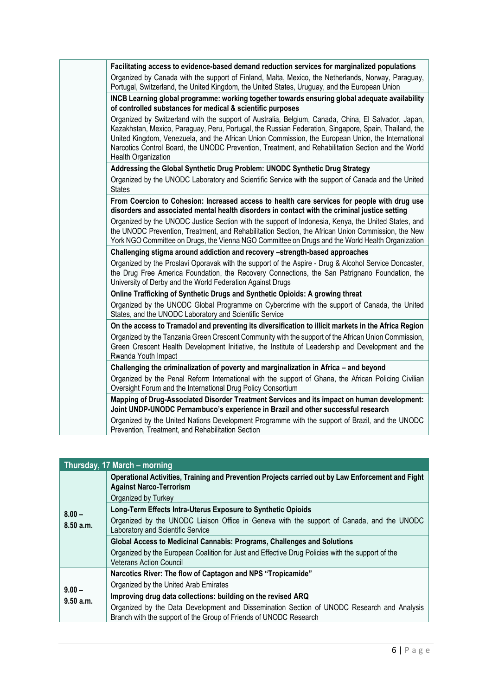| Facilitating access to evidence-based demand reduction services for marginalized populations                                                                                                                                                                                                                                                                                                                                                    |
|-------------------------------------------------------------------------------------------------------------------------------------------------------------------------------------------------------------------------------------------------------------------------------------------------------------------------------------------------------------------------------------------------------------------------------------------------|
| Organized by Canada with the support of Finland, Malta, Mexico, the Netherlands, Norway, Paraguay,                                                                                                                                                                                                                                                                                                                                              |
| Portugal, Switzerland, the United Kingdom, the United States, Uruguay, and the European Union                                                                                                                                                                                                                                                                                                                                                   |
| INCB Learning global programme: working together towards ensuring global adequate availability<br>of controlled substances for medical & scientific purposes                                                                                                                                                                                                                                                                                    |
| Organized by Switzerland with the support of Australia, Belgium, Canada, China, El Salvador, Japan,<br>Kazakhstan, Mexico, Paraguay, Peru, Portugal, the Russian Federation, Singapore, Spain, Thailand, the<br>United Kingdom, Venezuela, and the African Union Commission, the European Union, the International<br>Narcotics Control Board, the UNODC Prevention, Treatment, and Rehabilitation Section and the World<br>Health Organization |
| Addressing the Global Synthetic Drug Problem: UNODC Synthetic Drug Strategy                                                                                                                                                                                                                                                                                                                                                                     |
| Organized by the UNODC Laboratory and Scientific Service with the support of Canada and the United<br><b>States</b>                                                                                                                                                                                                                                                                                                                             |
| From Coercion to Cohesion: Increased access to health care services for people with drug use<br>disorders and associated mental health disorders in contact with the criminal justice setting                                                                                                                                                                                                                                                   |
| Organized by the UNODC Justice Section with the support of Indonesia, Kenya, the United States, and<br>the UNODC Prevention, Treatment, and Rehabilitation Section, the African Union Commission, the New<br>York NGO Committee on Drugs, the Vienna NGO Committee on Drugs and the World Health Organization                                                                                                                                   |
| Challenging stigma around addiction and recovery -strength-based approaches                                                                                                                                                                                                                                                                                                                                                                     |
| Organized by the Proslavi Oporavak with the support of the Aspire - Drug & Alcohol Service Doncaster,<br>the Drug Free America Foundation, the Recovery Connections, the San Patrignano Foundation, the<br>University of Derby and the World Federation Against Drugs                                                                                                                                                                           |
| Online Trafficking of Synthetic Drugs and Synthetic Opioids: A growing threat                                                                                                                                                                                                                                                                                                                                                                   |
| Organized by the UNODC Global Programme on Cybercrime with the support of Canada, the United<br>States, and the UNODC Laboratory and Scientific Service                                                                                                                                                                                                                                                                                         |
| On the access to Tramadol and preventing its diversification to illicit markets in the Africa Region                                                                                                                                                                                                                                                                                                                                            |
| Organized by the Tanzania Green Crescent Community with the support of the African Union Commission,<br>Green Crescent Health Development Initiative, the Institute of Leadership and Development and the<br>Rwanda Youth Impact                                                                                                                                                                                                                |
| Challenging the criminalization of poverty and marginalization in Africa - and beyond                                                                                                                                                                                                                                                                                                                                                           |
| Organized by the Penal Reform International with the support of Ghana, the African Policing Civilian<br>Oversight Forum and the International Drug Policy Consortium                                                                                                                                                                                                                                                                            |
| Mapping of Drug-Associated Disorder Treatment Services and its impact on human development:<br>Joint UNDP-UNODC Pernambuco's experience in Brazil and other successful research                                                                                                                                                                                                                                                                 |
| Organized by the United Nations Development Programme with the support of Brazil, and the UNODC<br>Prevention, Treatment, and Rehabilitation Section                                                                                                                                                                                                                                                                                            |

| Thursday, 17 March - morning |                                                                                                                                                                 |  |
|------------------------------|-----------------------------------------------------------------------------------------------------------------------------------------------------------------|--|
|                              | Operational Activities, Training and Prevention Projects carried out by Law Enforcement and Fight<br><b>Against Narco-Terrorism</b>                             |  |
|                              | Organized by Turkey                                                                                                                                             |  |
| $8.00 -$                     | Long-Term Effects Intra-Uterus Exposure to Synthetic Opioids                                                                                                    |  |
| 8.50 a.m.                    | Organized by the UNODC Liaison Office in Geneva with the support of Canada, and the UNODC<br>Laboratory and Scientific Service                                  |  |
|                              | Global Access to Medicinal Cannabis: Programs, Challenges and Solutions                                                                                         |  |
|                              | Organized by the European Coalition for Just and Effective Drug Policies with the support of the<br><b>Veterans Action Council</b>                              |  |
|                              | Narcotics River: The flow of Captagon and NPS "Tropicamide"                                                                                                     |  |
| $9.00 -$                     | Organized by the United Arab Emirates                                                                                                                           |  |
| 9.50 a.m.                    | Improving drug data collections: building on the revised ARQ                                                                                                    |  |
|                              | Organized by the Data Development and Dissemination Section of UNODC Research and Analysis<br>Branch with the support of the Group of Friends of UNODC Research |  |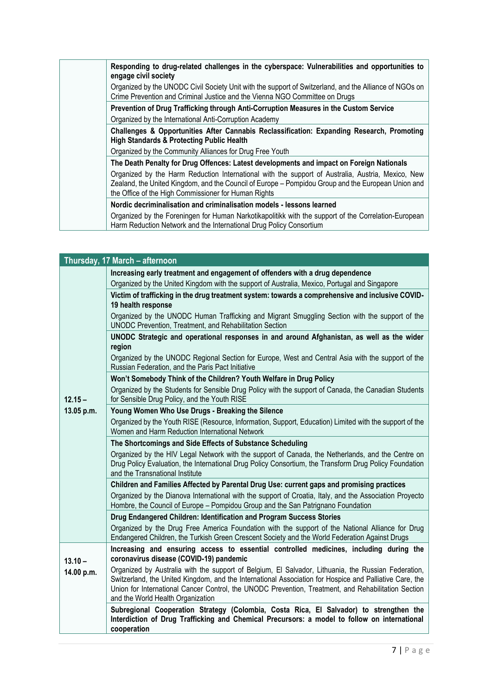|  | Responding to drug-related challenges in the cyberspace: Vulnerabilities and opportunities to<br>engage civil society                                                                                                                                           |
|--|-----------------------------------------------------------------------------------------------------------------------------------------------------------------------------------------------------------------------------------------------------------------|
|  | Organized by the UNODC Civil Society Unit with the support of Switzerland, and the Alliance of NGOs on<br>Crime Prevention and Criminal Justice and the Vienna NGO Committee on Drugs                                                                           |
|  | Prevention of Drug Trafficking through Anti-Corruption Measures in the Custom Service                                                                                                                                                                           |
|  | Organized by the International Anti-Corruption Academy                                                                                                                                                                                                          |
|  | Challenges & Opportunities After Cannabis Reclassification: Expanding Research, Promoting<br><b>High Standards &amp; Protecting Public Health</b>                                                                                                               |
|  | Organized by the Community Alliances for Drug Free Youth                                                                                                                                                                                                        |
|  | The Death Penalty for Drug Offences: Latest developments and impact on Foreign Nationals                                                                                                                                                                        |
|  | Organized by the Harm Reduction International with the support of Australia, Austria, Mexico, New<br>Zealand, the United Kingdom, and the Council of Europe – Pompidou Group and the European Union and<br>the Office of the High Commissioner for Human Rights |
|  | Nordic decriminalisation and criminalisation models - lessons learned                                                                                                                                                                                           |
|  | Organized by the Foreningen for Human Narkotikapolitikk with the support of the Correlation-European<br>Harm Reduction Network and the International Drug Policy Consortium                                                                                     |

| Thursday, 17 March - afternoon |                                                                                                                                                                                                                                                                                                                                                            |  |
|--------------------------------|------------------------------------------------------------------------------------------------------------------------------------------------------------------------------------------------------------------------------------------------------------------------------------------------------------------------------------------------------------|--|
|                                | Increasing early treatment and engagement of offenders with a drug dependence                                                                                                                                                                                                                                                                              |  |
|                                | Organized by the United Kingdom with the support of Australia, Mexico, Portugal and Singapore                                                                                                                                                                                                                                                              |  |
|                                | Victim of trafficking in the drug treatment system: towards a comprehensive and inclusive COVID-<br>19 health response                                                                                                                                                                                                                                     |  |
|                                | Organized by the UNODC Human Trafficking and Migrant Smuggling Section with the support of the<br>UNODC Prevention, Treatment, and Rehabilitation Section                                                                                                                                                                                                  |  |
|                                | UNODC Strategic and operational responses in and around Afghanistan, as well as the wider<br>region                                                                                                                                                                                                                                                        |  |
|                                | Organized by the UNODC Regional Section for Europe, West and Central Asia with the support of the<br>Russian Federation, and the Paris Pact Initiative                                                                                                                                                                                                     |  |
|                                | Won't Somebody Think of the Children? Youth Welfare in Drug Policy                                                                                                                                                                                                                                                                                         |  |
| $12.15 -$                      | Organized by the Students for Sensible Drug Policy with the support of Canada, the Canadian Students<br>for Sensible Drug Policy, and the Youth RISE                                                                                                                                                                                                       |  |
| 13.05 p.m.                     | Young Women Who Use Drugs - Breaking the Silence                                                                                                                                                                                                                                                                                                           |  |
|                                | Organized by the Youth RISE (Resource, Information, Support, Education) Limited with the support of the<br>Women and Harm Reduction International Network                                                                                                                                                                                                  |  |
|                                | The Shortcomings and Side Effects of Substance Scheduling                                                                                                                                                                                                                                                                                                  |  |
|                                | Organized by the HIV Legal Network with the support of Canada, the Netherlands, and the Centre on<br>Drug Policy Evaluation, the International Drug Policy Consortium, the Transform Drug Policy Foundation<br>and the Transnational Institute                                                                                                             |  |
|                                | Children and Families Affected by Parental Drug Use: current gaps and promising practices                                                                                                                                                                                                                                                                  |  |
|                                | Organized by the Dianova International with the support of Croatia, Italy, and the Association Proyecto<br>Hombre, the Council of Europe - Pompidou Group and the San Patrignano Foundation                                                                                                                                                                |  |
|                                | Drug Endangered Children: Identification and Program Success Stories                                                                                                                                                                                                                                                                                       |  |
|                                | Organized by the Drug Free America Foundation with the support of the National Alliance for Drug<br>Endangered Children, the Turkish Green Crescent Society and the World Federation Against Drugs                                                                                                                                                         |  |
| $13.10 -$                      | Increasing and ensuring access to essential controlled medicines, including during the<br>coronavirus disease (COVID-19) pandemic                                                                                                                                                                                                                          |  |
| 14.00 p.m.                     | Organized by Australia with the support of Belgium, El Salvador, Lithuania, the Russian Federation,<br>Switzerland, the United Kingdom, and the International Association for Hospice and Palliative Care, the<br>Union for International Cancer Control, the UNODC Prevention, Treatment, and Rehabilitation Section<br>and the World Health Organization |  |
|                                | Subregional Cooperation Strategy (Colombia, Costa Rica, El Salvador) to strengthen the<br>Interdiction of Drug Trafficking and Chemical Precursors: a model to follow on international<br>cooperation                                                                                                                                                      |  |
|                                |                                                                                                                                                                                                                                                                                                                                                            |  |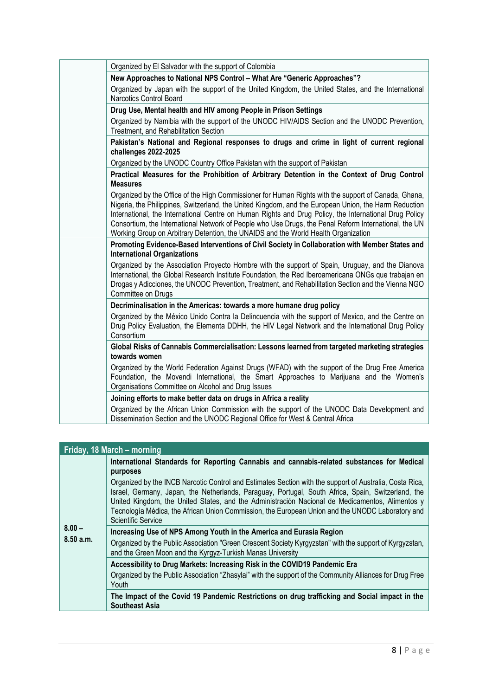| Organized by El Salvador with the support of Colombia                                                                                                                                                                                                                                                                                                                                                                                                                                                                  |
|------------------------------------------------------------------------------------------------------------------------------------------------------------------------------------------------------------------------------------------------------------------------------------------------------------------------------------------------------------------------------------------------------------------------------------------------------------------------------------------------------------------------|
| New Approaches to National NPS Control - What Are "Generic Approaches"?                                                                                                                                                                                                                                                                                                                                                                                                                                                |
| Organized by Japan with the support of the United Kingdom, the United States, and the International<br><b>Narcotics Control Board</b>                                                                                                                                                                                                                                                                                                                                                                                  |
| Drug Use, Mental health and HIV among People in Prison Settings                                                                                                                                                                                                                                                                                                                                                                                                                                                        |
| Organized by Namibia with the support of the UNODC HIV/AIDS Section and the UNODC Prevention,<br>Treatment, and Rehabilitation Section                                                                                                                                                                                                                                                                                                                                                                                 |
| Pakistan's National and Regional responses to drugs and crime in light of current regional<br>challenges 2022-2025                                                                                                                                                                                                                                                                                                                                                                                                     |
| Organized by the UNODC Country Office Pakistan with the support of Pakistan                                                                                                                                                                                                                                                                                                                                                                                                                                            |
| Practical Measures for the Prohibition of Arbitrary Detention in the Context of Drug Control<br><b>Measures</b>                                                                                                                                                                                                                                                                                                                                                                                                        |
| Organized by the Office of the High Commissioner for Human Rights with the support of Canada, Ghana,<br>Nigeria, the Philippines, Switzerland, the United Kingdom, and the European Union, the Harm Reduction<br>International, the International Centre on Human Rights and Drug Policy, the International Drug Policy<br>Consortium, the International Network of People who Use Drugs, the Penal Reform International, the UN<br>Working Group on Arbitrary Detention, the UNAIDS and the World Health Organization |
| Promoting Evidence-Based Interventions of Civil Society in Collaboration with Member States and<br><b>International Organizations</b>                                                                                                                                                                                                                                                                                                                                                                                  |
| Organized by the Association Proyecto Hombre with the support of Spain, Uruguay, and the Dianova<br>International, the Global Research Institute Foundation, the Red Iberoamericana ONGs que trabajan en<br>Drogas y Adicciones, the UNODC Prevention, Treatment, and Rehabilitation Section and the Vienna NGO<br>Committee on Drugs                                                                                                                                                                                  |
| Decriminalisation in the Americas: towards a more humane drug policy                                                                                                                                                                                                                                                                                                                                                                                                                                                   |
| Organized by the México Unido Contra la Delincuencia with the support of Mexico, and the Centre on<br>Drug Policy Evaluation, the Elementa DDHH, the HIV Legal Network and the International Drug Policy<br>Consortium                                                                                                                                                                                                                                                                                                 |
| Global Risks of Cannabis Commercialisation: Lessons learned from targeted marketing strategies<br>towards women                                                                                                                                                                                                                                                                                                                                                                                                        |
| Organized by the World Federation Against Drugs (WFAD) with the support of the Drug Free America<br>Foundation, the Movendi International, the Smart Approaches to Marijuana and the Women's<br>Organisations Committee on Alcohol and Drug Issues                                                                                                                                                                                                                                                                     |
| Joining efforts to make better data on drugs in Africa a reality                                                                                                                                                                                                                                                                                                                                                                                                                                                       |
| Organized by the African Union Commission with the support of the UNODC Data Development and<br>Dissemination Section and the UNODC Regional Office for West & Central Africa                                                                                                                                                                                                                                                                                                                                          |

| Friday, 18 March – morning |                                                                                                                                                                                                                                                                                                                                                                                                                                            |  |  |
|----------------------------|--------------------------------------------------------------------------------------------------------------------------------------------------------------------------------------------------------------------------------------------------------------------------------------------------------------------------------------------------------------------------------------------------------------------------------------------|--|--|
| $8.00 -$<br>8.50 a.m.      | International Standards for Reporting Cannabis and cannabis-related substances for Medical<br>purposes                                                                                                                                                                                                                                                                                                                                     |  |  |
|                            | Organized by the INCB Narcotic Control and Estimates Section with the support of Australia, Costa Rica,<br>Israel, Germany, Japan, the Netherlands, Paraguay, Portugal, South Africa, Spain, Switzerland, the<br>United Kingdom, the United States, and the Administración Nacional de Medicamentos, Alimentos y<br>Tecnología Médica, the African Union Commission, the European Union and the UNODC Laboratory and<br>Scientific Service |  |  |
|                            | Increasing Use of NPS Among Youth in the America and Eurasia Region                                                                                                                                                                                                                                                                                                                                                                        |  |  |
|                            | Organized by the Public Association "Green Crescent Society Kyrgyzstan" with the support of Kyrgyzstan,<br>and the Green Moon and the Kyrgyz-Turkish Manas University                                                                                                                                                                                                                                                                      |  |  |
|                            | Accessibility to Drug Markets: Increasing Risk in the COVID19 Pandemic Era                                                                                                                                                                                                                                                                                                                                                                 |  |  |
|                            | Organized by the Public Association "Zhasylai" with the support of the Community Alliances for Drug Free<br>Youth                                                                                                                                                                                                                                                                                                                          |  |  |
|                            | The Impact of the Covid 19 Pandemic Restrictions on drug trafficking and Social impact in the<br><b>Southeast Asia</b>                                                                                                                                                                                                                                                                                                                     |  |  |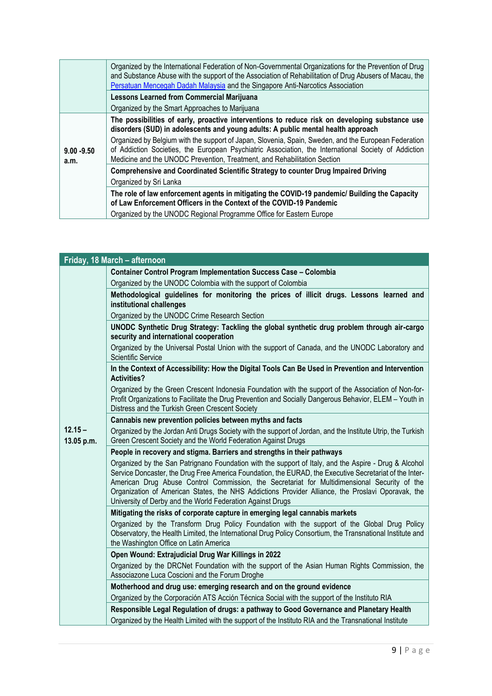|                       | Organized by the International Federation of Non-Governmental Organizations for the Prevention of Drug<br>and Substance Abuse with the support of the Association of Rehabilitation of Drug Abusers of Macau, the<br>Persatuan Mencegah Dadah Malaysia and the Singapore Anti-Narcotics Association |
|-----------------------|-----------------------------------------------------------------------------------------------------------------------------------------------------------------------------------------------------------------------------------------------------------------------------------------------------|
|                       | <b>Lessons Learned from Commercial Marijuana</b>                                                                                                                                                                                                                                                    |
|                       | Organized by the Smart Approaches to Marijuana                                                                                                                                                                                                                                                      |
|                       | The possibilities of early, proactive interventions to reduce risk on developing substance use<br>disorders (SUD) in adolescents and young adults: A public mental health approach                                                                                                                  |
| $9.00 - 9.50$<br>a.m. | Organized by Belgium with the support of Japan, Slovenia, Spain, Sweden, and the European Federation<br>of Addiction Societies, the European Psychiatric Association, the International Society of Addiction<br>Medicine and the UNODC Prevention, Treatment, and Rehabilitation Section            |
|                       | Comprehensive and Coordinated Scientific Strategy to counter Drug Impaired Driving                                                                                                                                                                                                                  |
|                       | Organized by Sri Lanka                                                                                                                                                                                                                                                                              |
|                       | The role of law enforcement agents in mitigating the COVID-19 pandemic/ Building the Capacity<br>of Law Enforcement Officers in the Context of the COVID-19 Pandemic                                                                                                                                |
|                       | Organized by the UNODC Regional Programme Office for Eastern Europe                                                                                                                                                                                                                                 |

| Friday, 18 March - afternoon |                                                                                                                                                                                                                                                                                                                                                                                                                                                                                     |  |
|------------------------------|-------------------------------------------------------------------------------------------------------------------------------------------------------------------------------------------------------------------------------------------------------------------------------------------------------------------------------------------------------------------------------------------------------------------------------------------------------------------------------------|--|
|                              | <b>Container Control Program Implementation Success Case - Colombia</b>                                                                                                                                                                                                                                                                                                                                                                                                             |  |
|                              | Organized by the UNODC Colombia with the support of Colombia                                                                                                                                                                                                                                                                                                                                                                                                                        |  |
|                              | Methodological guidelines for monitoring the prices of illicit drugs. Lessons learned and<br>institutional challenges                                                                                                                                                                                                                                                                                                                                                               |  |
|                              | Organized by the UNODC Crime Research Section                                                                                                                                                                                                                                                                                                                                                                                                                                       |  |
|                              | UNODC Synthetic Drug Strategy: Tackling the global synthetic drug problem through air-cargo<br>security and international cooperation                                                                                                                                                                                                                                                                                                                                               |  |
|                              | Organized by the Universal Postal Union with the support of Canada, and the UNODC Laboratory and<br><b>Scientific Service</b>                                                                                                                                                                                                                                                                                                                                                       |  |
|                              | In the Context of Accessibility: How the Digital Tools Can Be Used in Prevention and Intervention<br><b>Activities?</b>                                                                                                                                                                                                                                                                                                                                                             |  |
|                              | Organized by the Green Crescent Indonesia Foundation with the support of the Association of Non-for-<br>Profit Organizations to Facilitate the Drug Prevention and Socially Dangerous Behavior, ELEM - Youth in<br>Distress and the Turkish Green Crescent Society                                                                                                                                                                                                                  |  |
|                              | Cannabis new prevention policies between myths and facts                                                                                                                                                                                                                                                                                                                                                                                                                            |  |
| $12.15 -$<br>13.05 p.m.      | Organized by the Jordan Anti Drugs Society with the support of Jordan, and the Institute Utrip, the Turkish<br>Green Crescent Society and the World Federation Against Drugs                                                                                                                                                                                                                                                                                                        |  |
|                              | People in recovery and stigma. Barriers and strengths in their pathways                                                                                                                                                                                                                                                                                                                                                                                                             |  |
|                              | Organized by the San Patrignano Foundation with the support of Italy, and the Aspire - Drug & Alcohol<br>Service Doncaster, the Drug Free America Foundation, the EURAD, the Executive Secretariat of the Inter-<br>American Drug Abuse Control Commission, the Secretariat for Multidimensional Security of the<br>Organization of American States, the NHS Addictions Provider Alliance, the Proslavi Oporavak, the<br>University of Derby and the World Federation Against Drugs |  |
|                              | Mitigating the risks of corporate capture in emerging legal cannabis markets                                                                                                                                                                                                                                                                                                                                                                                                        |  |
|                              | Organized by the Transform Drug Policy Foundation with the support of the Global Drug Policy<br>Observatory, the Health Limited, the International Drug Policy Consortium, the Transnational Institute and<br>the Washington Office on Latin America                                                                                                                                                                                                                                |  |
|                              | Open Wound: Extrajudicial Drug War Killings in 2022                                                                                                                                                                                                                                                                                                                                                                                                                                 |  |
|                              | Organized by the DRCNet Foundation with the support of the Asian Human Rights Commission, the<br>Associazone Luca Coscioni and the Forum Droghe                                                                                                                                                                                                                                                                                                                                     |  |
|                              | Motherhood and drug use: emerging research and on the ground evidence                                                                                                                                                                                                                                                                                                                                                                                                               |  |
|                              | Organized by the Corporación ATS Acción Técnica Social with the support of the Instituto RIA                                                                                                                                                                                                                                                                                                                                                                                        |  |
|                              | Responsible Legal Regulation of drugs: a pathway to Good Governance and Planetary Health                                                                                                                                                                                                                                                                                                                                                                                            |  |
|                              | Organized by the Health Limited with the support of the Instituto RIA and the Transnational Institute                                                                                                                                                                                                                                                                                                                                                                               |  |